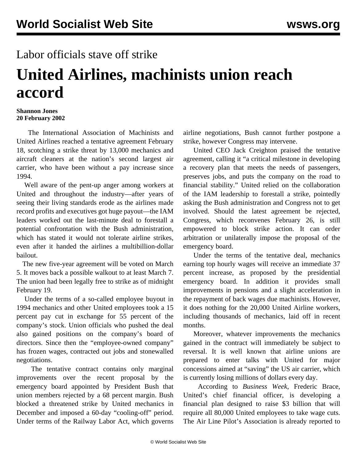## Labor officials stave off strike

## **United Airlines, machinists union reach accord**

## **Shannon Jones 20 February 2002**

 The International Association of Machinists and United Airlines reached a tentative agreement February 18, scotching a strike threat by 13,000 mechanics and aircraft cleaners at the nation's second largest air carrier, who have been without a pay increase since 1994.

 Well aware of the pent-up anger among workers at United and throughout the industry—after years of seeing their living standards erode as the airlines made record profits and executives got huge payout—the IAM leaders worked out the last-minute deal to forestall a potential confrontation with the Bush administration, which has stated it would not tolerate airline strikes, even after it handed the airlines a multibillion-dollar bailout.

 The new five-year agreement will be voted on March 5. It moves back a possible walkout to at least March 7. The union had been legally free to strike as of midnight February 19.

 Under the terms of a so-called employee buyout in 1994 mechanics and other United employees took a 15 percent pay cut in exchange for 55 percent of the company's stock. Union officials who pushed the deal also gained positions on the company's board of directors. Since then the "employee-owned company" has frozen wages, contracted out jobs and stonewalled negotiations.

 The tentative contract contains only marginal improvements over the recent proposal by the emergency board appointed by President Bush that union members rejected by a 68 percent margin. Bush blocked a threatened strike by United mechanics in December and imposed a 60-day "cooling-off" period. Under terms of the Railway Labor Act, which governs

airline negotiations, Bush cannot further postpone a strike, however Congress may intervene.

 United CEO Jack Creighton praised the tentative agreement, calling it "a critical milestone in developing a recovery plan that meets the needs of passengers, preserves jobs, and puts the company on the road to financial stability." United relied on the collaboration of the IAM leadership to forestall a strike, pointedly asking the Bush administration and Congress not to get involved. Should the latest agreement be rejected, Congress, which reconvenes February 26, is still empowered to block strike action. It can order arbitration or unilaterally impose the proposal of the emergency board.

 Under the terms of the tentative deal, mechanics earning top hourly wages will receive an immediate 37 percent increase, as proposed by the presidential emergency board. In addition it provides small improvements in pensions and a slight acceleration in the repayment of back wages due machinists. However, it does nothing for the 20,000 United Airline workers, including thousands of mechanics, laid off in recent months.

 Moreover, whatever improvements the mechanics gained in the contract will immediately be subject to reversal. It is well known that airline unions are prepared to enter talks with United for major concessions aimed at "saving" the US air carrier, which is currently losing millions of dollars every day.

 According to *Business Week*, Frederic Brace, United's chief financial officer, is developing a financial plan designed to raise \$3 billion that will require all 80,000 United employees to take wage cuts. The Air Line Pilot's Association is already reported to